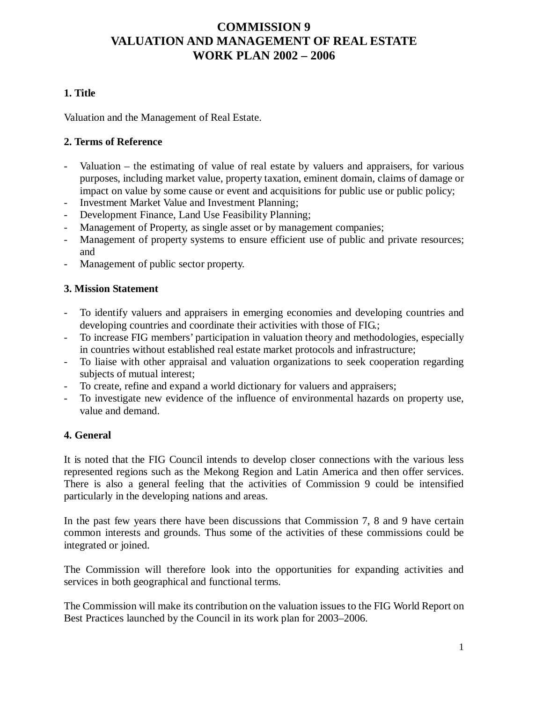# **COMMISSION 9 VALUATION AND MANAGEMENT OF REAL ESTATE WORK PLAN 2002 – 2006**

# **1. Title**

Valuation and the Management of Real Estate.

## **2. Terms of Reference**

- Valuation the estimating of value of real estate by valuers and appraisers, for various purposes, including market value, property taxation, eminent domain, claims of damage or impact on value by some cause or event and acquisitions for public use or public policy;
- Investment Market Value and Investment Planning;
- Development Finance, Land Use Feasibility Planning;
- Management of Property, as single asset or by management companies;
- Management of property systems to ensure efficient use of public and private resources; and
- Management of public sector property.

## **3. Mission Statement**

- To identify valuers and appraisers in emerging economies and developing countries and developing countries and coordinate their activities with those of FIG.;
- To increase FIG members' participation in valuation theory and methodologies, especially in countries without established real estate market protocols and infrastructure;
- To liaise with other appraisal and valuation organizations to seek cooperation regarding subjects of mutual interest;
- To create, refine and expand a world dictionary for valuers and appraisers;
- To investigate new evidence of the influence of environmental hazards on property use, value and demand.

## **4. General**

It is noted that the FIG Council intends to develop closer connections with the various less represented regions such as the Mekong Region and Latin America and then offer services. There is also a general feeling that the activities of Commission 9 could be intensified particularly in the developing nations and areas.

In the past few years there have been discussions that Commission 7, 8 and 9 have certain common interests and grounds. Thus some of the activities of these commissions could be integrated or joined.

The Commission will therefore look into the opportunities for expanding activities and services in both geographical and functional terms.

The Commission will make its contribution on the valuation issues to the FIG World Report on Best Practices launched by the Council in its work plan for 2003–2006.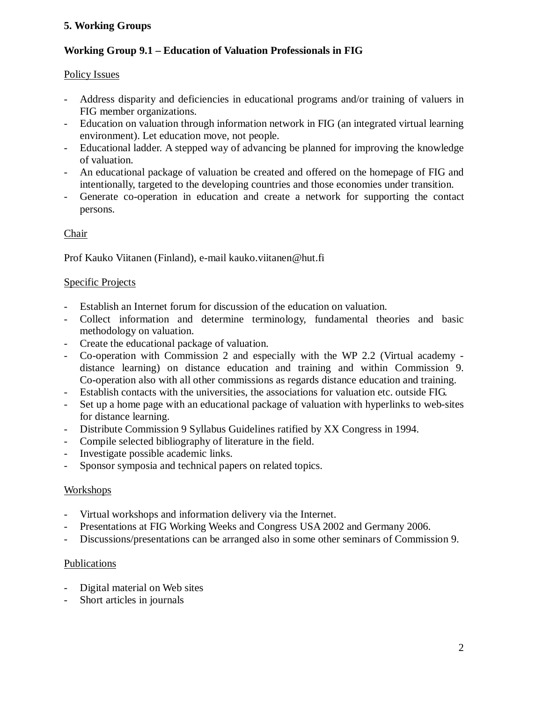# **5. Working Groups**

## **Working Group 9.1 – Education of Valuation Professionals in FIG**

### Policy Issues

- Address disparity and deficiencies in educational programs and/or training of valuers in FIG member organizations.
- Education on valuation through information network in FIG (an integrated virtual learning environment). Let education move, not people.
- Educational ladder. A stepped way of advancing be planned for improving the knowledge of valuation.
- An educational package of valuation be created and offered on the homepage of FIG and intentionally, targeted to the developing countries and those economies under transition.
- Generate co-operation in education and create a network for supporting the contact persons.

## Chair

Prof Kauko Viitanen (Finland), e-mail kauko.viitanen@hut.fi

## Specific Projects

- Establish an Internet forum for discussion of the education on valuation.
- Collect information and determine terminology, fundamental theories and basic methodology on valuation.
- Create the educational package of valuation.
- Co-operation with Commission 2 and especially with the WP 2.2 (Virtual academy distance learning) on distance education and training and within Commission 9. Co-operation also with all other commissions as regards distance education and training.
- Establish contacts with the universities, the associations for valuation etc. outside FIG.
- Set up a home page with an educational package of valuation with hyperlinks to web-sites for distance learning.
- Distribute Commission 9 Syllabus Guidelines ratified by XX Congress in 1994.
- Compile selected bibliography of literature in the field.
- Investigate possible academic links.
- Sponsor symposia and technical papers on related topics.

#### Workshops

- Virtual workshops and information delivery via the Internet.
- Presentations at FIG Working Weeks and Congress USA 2002 and Germany 2006.
- Discussions/presentations can be arranged also in some other seminars of Commission 9.

#### Publications

- Digital material on Web sites
- Short articles in journals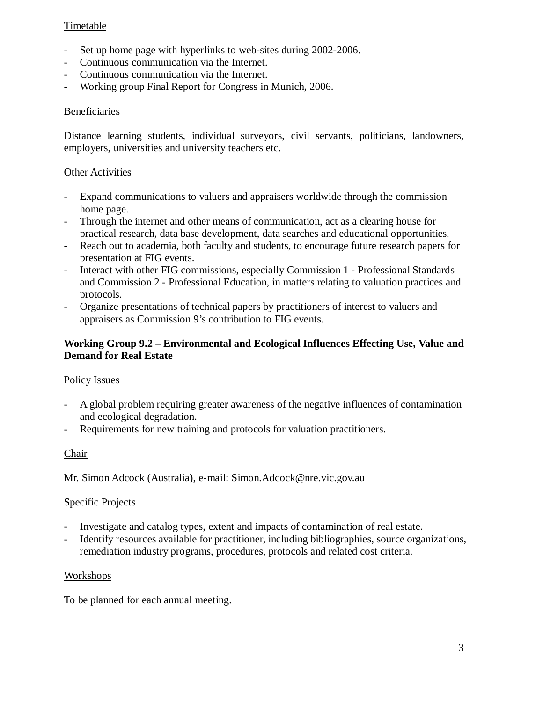## Timetable

- Set up home page with hyperlinks to web-sites during 2002-2006.
- Continuous communication via the Internet.
- Continuous communication via the Internet.
- Working group Final Report for Congress in Munich, 2006.

## Beneficiaries

Distance learning students, individual surveyors, civil servants, politicians, landowners, employers, universities and university teachers etc.

## **Other Activities**

- Expand communications to valuers and appraisers worldwide through the commission home page.
- Through the internet and other means of communication, act as a clearing house for practical research, data base development, data searches and educational opportunities.
- Reach out to academia, both faculty and students, to encourage future research papers for presentation at FIG events.
- Interact with other FIG commissions, especially Commission 1 Professional Standards and Commission 2 - Professional Education, in matters relating to valuation practices and protocols.
- Organize presentations of technical papers by practitioners of interest to valuers and appraisers as Commission 9's contribution to FIG events.

## **Working Group 9.2 – Environmental and Ecological Influences Effecting Use, Value and Demand for Real Estate**

#### Policy Issues

- A global problem requiring greater awareness of the negative influences of contamination and ecological degradation.
- Requirements for new training and protocols for valuation practitioners.

#### Chair

Mr. Simon Adcock (Australia), e-mail: Simon.Adcock@nre.vic.gov.au

#### Specific Projects

- Investigate and catalog types, extent and impacts of contamination of real estate.
- Identify resources available for practitioner, including bibliographies, source organizations, remediation industry programs, procedures, protocols and related cost criteria.

#### Workshops

To be planned for each annual meeting.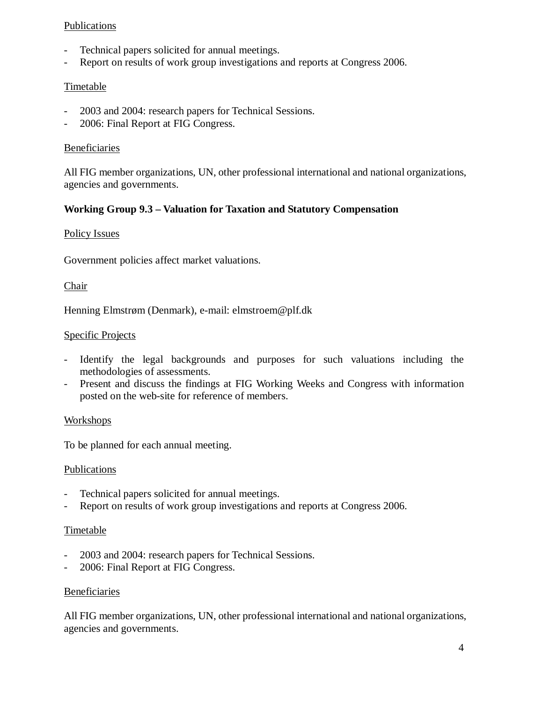#### Publications

- Technical papers solicited for annual meetings.
- Report on results of work group investigations and reports at Congress 2006.

## Timetable

- 2003 and 2004: research papers for Technical Sessions.
- 2006: Final Report at FIG Congress.

#### Beneficiaries

All FIG member organizations, UN, other professional international and national organizations, agencies and governments.

#### **Working Group 9.3 – Valuation for Taxation and Statutory Compensation**

#### Policy Issues

Government policies affect market valuations.

#### Chair

Henning Elmstrøm (Denmark), e-mail: elmstroem@plf.dk

#### Specific Projects

- Identify the legal backgrounds and purposes for such valuations including the methodologies of assessments.
- Present and discuss the findings at FIG Working Weeks and Congress with information posted on the web-site for reference of members.

#### Workshops

To be planned for each annual meeting.

#### Publications

- Technical papers solicited for annual meetings.
- Report on results of work group investigations and reports at Congress 2006.

#### **Timetable**

- 2003 and 2004: research papers for Technical Sessions.
- 2006: Final Report at FIG Congress.

#### Beneficiaries

All FIG member organizations, UN, other professional international and national organizations, agencies and governments.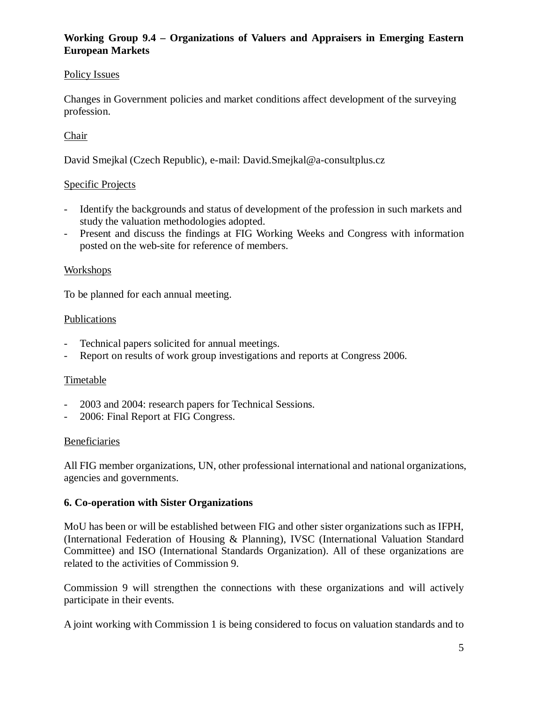# **Working Group 9.4 – Organizations of Valuers and Appraisers in Emerging Eastern European Markets**

## Policy Issues

Changes in Government policies and market conditions affect development of the surveying profession.

# **Chair**

David Smejkal (Czech Republic), e-mail: David.Smejkal@a-consultplus.cz

## Specific Projects

- Identify the backgrounds and status of development of the profession in such markets and study the valuation methodologies adopted.
- Present and discuss the findings at FIG Working Weeks and Congress with information posted on the web-site for reference of members.

## Workshops

To be planned for each annual meeting.

## **Publications**

- Technical papers solicited for annual meetings.
- Report on results of work group investigations and reports at Congress 2006.

## Timetable

- 2003 and 2004: research papers for Technical Sessions.
- 2006: Final Report at FIG Congress.

#### Beneficiaries

All FIG member organizations, UN, other professional international and national organizations, agencies and governments.

# **6. Co-operation with Sister Organizations**

MoU has been or will be established between FIG and other sister organizations such as IFPH, (International Federation of Housing & Planning), IVSC (International Valuation Standard Committee) and ISO (International Standards Organization). All of these organizations are related to the activities of Commission 9.

Commission 9 will strengthen the connections with these organizations and will actively participate in their events.

A joint working with Commission 1 is being considered to focus on valuation standards and to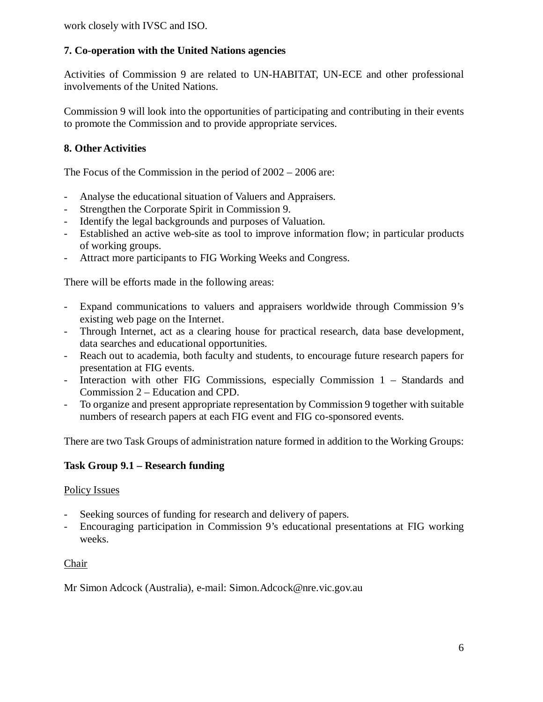work closely with IVSC and ISO.

# **7. Co-operation with the United Nations agencies**

Activities of Commission 9 are related to UN-HABITAT, UN-ECE and other professional involvements of the United Nations.

Commission 9 will look into the opportunities of participating and contributing in their events to promote the Commission and to provide appropriate services.

# **8. Other Activities**

The Focus of the Commission in the period of 2002 – 2006 are:

- Analyse the educational situation of Valuers and Appraisers.
- Strengthen the Corporate Spirit in Commission 9.
- Identify the legal backgrounds and purposes of Valuation.
- Established an active web-site as tool to improve information flow; in particular products of working groups.
- Attract more participants to FIG Working Weeks and Congress.

There will be efforts made in the following areas:

- Expand communications to valuers and appraisers worldwide through Commission 9's existing web page on the Internet.
- Through Internet, act as a clearing house for practical research, data base development, data searches and educational opportunities.
- Reach out to academia, both faculty and students, to encourage future research papers for presentation at FIG events.
- Interaction with other FIG Commissions, especially Commission 1 Standards and Commission 2 – Education and CPD.
- To organize and present appropriate representation by Commission 9 together with suitable numbers of research papers at each FIG event and FIG co-sponsored events.

There are two Task Groups of administration nature formed in addition to the Working Groups:

## **Task Group 9.1 – Research funding**

#### Policy Issues

- Seeking sources of funding for research and delivery of papers.
- Encouraging participation in Commission 9's educational presentations at FIG working weeks.

#### Chair

Mr Simon Adcock (Australia), e-mail: Simon.Adcock@nre.vic.gov.au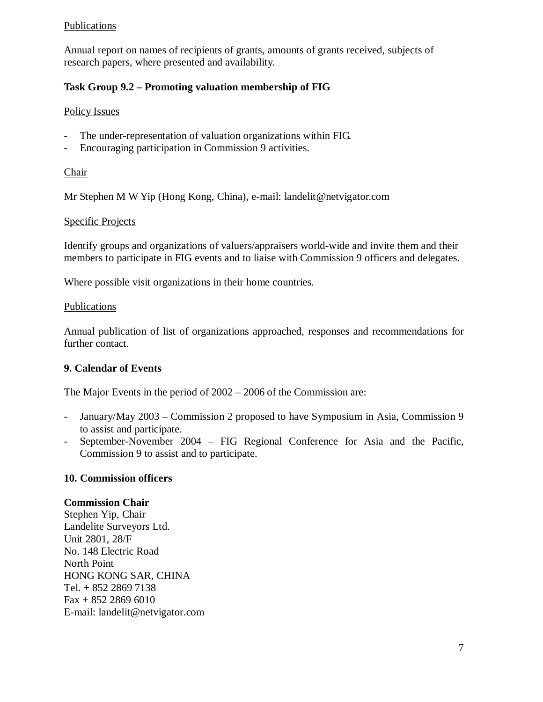### Publications

Annual report on names of recipients of grants, amounts of grants received, subjects of research papers, where presented and availability.

# **Task Group 9.2 – Promoting valuation membership of FIG**

## Policy Issues

- The under-representation of valuation organizations within FIG.
- Encouraging participation in Commission 9 activities.

#### Chair

Mr Stephen M W Yip (Hong Kong, China), e-mail: landelit@netvigator.com

## Specific Projects

Identify groups and organizations of valuers/appraisers world-wide and invite them and their members to participate in FIG events and to liaise with Commission 9 officers and delegates.

Where possible visit organizations in their home countries.

## Publications

Annual publication of list of organizations approached, responses and recommendations for further contact.

## **9. Calendar of Events**

The Major Events in the period of 2002 – 2006 of the Commission are:

- January/May 2003 Commission 2 proposed to have Symposium in Asia, Commission 9 to assist and participate.
- September-November 2004 FIG Regional Conference for Asia and the Pacific, Commission 9 to assist and to participate.

## **10. Commission officers**

#### **Commission Chair**

Stephen Yip, Chair Landelite Surveyors Ltd. Unit 2801, 28/F No. 148 Electric Road North Point HONG KONG SAR, CHINA Tel. + 852 2869 7138 Fax + 852 2869 6010 E-mail: landelit@netvigator.com